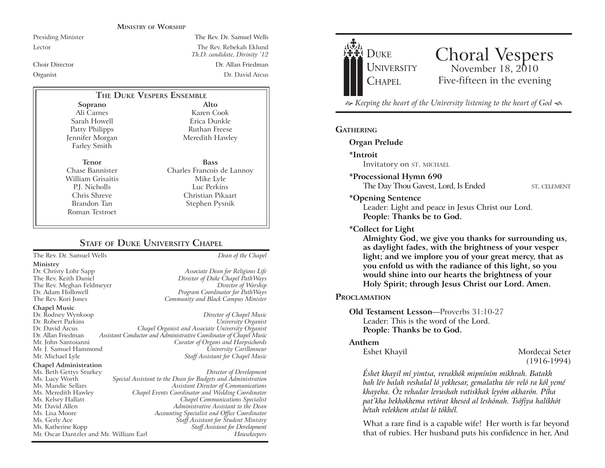#### **MINISTRY OF WORSHIP**

Presiding Minister The Rev. Dr. Samuel Wells

Lector The Rev. Rebekah Eklund *Th.D. candidate, Divinity '12* Choir Director Dr. Allan Friedman Organist Dr. David Arcus

# **THE DUKE VESPERS ENSEMBLE**

**Soprano** Ali Carnes Sarah Howell Patty Philipps Jennifer Morgan Farley Smith

**Tenor** Chase Bannister William Grisaitis P.J. Nicholls Chris Shreve Brandon Tan Roman Testroet

Karen Cook Erica Dunkle Ruthan Freese Meredith Hawley **Bass**

**Alto**

Charles Francois de Lannoy Mike Lyle Luc Perkins Christian Pikaart Stephen Pysnik

# **STAFF** OF **DUKE UNIVERSITY CHAPEL**

The Rev. Dr. Samuel Wells *Dean of the Chapel*

**Ministry**

**Chapel Music**

Dr. Rodney Wynkoop *Director of Chapel Music* Dr. David Arcus *Chapel Organist and Associate University Organist* Dr. Allan Friedman *Assistant Conductor and Administrative Coordinator of Chapel Music* Mr. J. Samuel Hammond *University Carillonneur* **Staff Assistant for Chapel Music** 

#### **Chapel Administration**

Ms. Beth Gettys Sturkey *Director of Development* Ms. Lucy Worth *Special Assistant to the Dean for Budgets and Administration* Ms. Meredith Hawley *Chapel Events Coordinator and Wedding Coordinator* Mr. David Allen *Administrative Assistant to the Dean* Ms. Lisa Moore *Accounting Specialist and Office Coordinator* Ms. Katherine Kopp *Staff Assistant for Development* Mr. Oscar Dantzler and Mr. William Earl

Dr. Christy Lohr Sapp *Associate Dean for Religious Life* Director of Duke Chapel PathWays The Rev. Meghan Feldmeyer *Director of Worship* Program Coordinator for PathWays The Rev. Kori Jones *Community and Black Campus Minister*

> $University$  *Organist* **Curator of Organs and Harpsichords**

> > Ms. Mandie Sellars *Assistant Director of Communications* Ms. Kelsey Hallatt *Chapel Communications Specialist*  $\tilde{S}$ taff Assistant for  $\tilde{S}$ tudent Ministry



# Choral Vespers<br>November 18, 2010 Five-fifteen in the evening

 $\approx$  Keeping the heart of the University listening to the heart of God  $\ll$ 

## **GATHERING**

#### **Organ Prelude**

**\*Introit** 

Invitatory on ST. MICHAEL

## **\*Processional Hymn 690**

The Day Thou Gavest, Lord, Is Ended ST. CELEMENT

#### **\*Opening Sentence**

Leader: Light and peace in Jesus Christ our Lord. **People: Thanks be to God.**

#### **\*Collect for Light**

**Almighty God, we give you thanks for surrounding us, as daylight fades, with the brightness of your vesper light; and we implore you of your great mercy, that as you enfold us with the radiance of this light, so you would shine into our hearts the brightness of your Holy Spirit; through Jesus Christ our Lord. Amen.** 

#### **PROCLAMATION**

## **Old Testament Lesson—Proverbs 31:10-27** Leader: This is the word of the Lord. **People: Thanks be to God.**

#### **Anthem**

Eshet Khayil Mordecai Seter (1916-1994)

*Éshet khayil mí yimtsa, verakhók mipníním mikhrah. Batakh bah lév balah veshalal ló yekhesar, gemalathu tóv veló ra kól yemé khayeha. Óz vehadar levushah vatiskhak leyóm akharón. Píha pat0kha bekhokhema vetórat khesed al leshónah. Tsófíya halíkhót bétah velekhem atslut ló tókhél.*

What a rare find is a capable wife! Her worth is far beyond that of rubies. Her husband puts his confidence in her, And